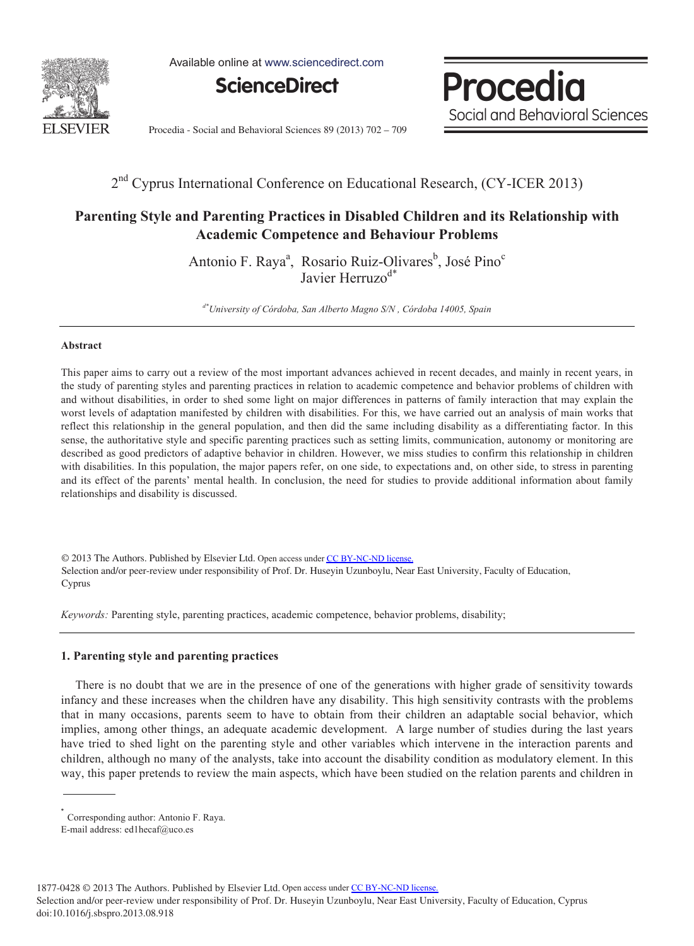

Available online at www.sciencedirect.com

**ScienceDirect**

Procedia Social and Behavioral Sciences

Procedia - Social and Behavioral Sciences 89 (2013) 702 - 709

# 2nd Cyprus International Conference on Educational Research, (CY-ICER 2013)

# **Parenting Style and Parenting Practices in Disabled Children and its Relationship with Academic Competence and Behaviour Problems**

Antonio F. Raya<sup>a</sup>, Rosario Ruiz-Olivares<sup>b</sup>, José Pino<sup>c</sup> Javier Herruzo<sup>d\*</sup>

*d\*University of Córdoba, San Alberto Magno S/N , Córdoba 14005, Spain* 

### **Abstract**

This paper aims to carry out a review of the most important advances achieved in recent decades, and mainly in recent years, in the study of parenting styles and parenting practices in relation to academic competence and behavior problems of children with and without disabilities, in order to shed some light on major differences in patterns of family interaction that may explain the worst levels of adaptation manifested by children with disabilities. For this, we have carried out an analysis of main works that reflect this relationship in the general population, and then did the same including disability as a differentiating factor. In this sense, the authoritative style and specific parenting practices such as setting limits, communication, autonomy or monitoring are described as good predictors of adaptive behavior in children. However, we miss studies to confirm this relationship in children with disabilities. In this population, the major papers refer, on one side, to expectations and, on other side, to stress in parenting and its effect of the parents' mental health. In conclusion, the need for studies to provide additional information about family relationships and disability is discussed.

© 2013 The Authors. Published by Elsevier Ltd. Open access under [CC BY-NC-ND license.](http://creativecommons.org/licenses/by-nc-nd/3.0/) Selection and/or peer-review under responsibility of Prof. Dr. Huseyin Uzunboylu, Near East University, Faculty of Education, Cyprus

*Keywords:* Parenting style, parenting practices, academic competence, behavior problems, disability;

# **1. Parenting style and parenting practices**

There is no doubt that we are in the presence of one of the generations with higher grade of sensitivity towards infancy and these increases when the children have any disability. This high sensitivity contrasts with the problems that in many occasions, parents seem to have to obtain from their children an adaptable social behavior, which implies, among other things, an adequate academic development. A large number of studies during the last years have tried to shed light on the parenting style and other variables which intervene in the interaction parents and children, although no many of the analysts, take into account the disability condition as modulatory element. In this way, this paper pretends to review the main aspects, which have been studied on the relation parents and children in

1877-0428 © 2013 The Authors. Published by Elsevier Ltd. Open access under [CC BY-NC-ND license.](http://creativecommons.org/licenses/by-nc-nd/3.0/)

Selection and/or peer-review under responsibility of Prof. Dr. Huseyin Uzunboylu, Near East University, Faculty of Education, Cyprus doi: 10.1016/j.sbspro.2013.08.918

<sup>\*</sup> Corresponding author: Antonio F. Raya.

E-mail address: ed1hecaf@uco.es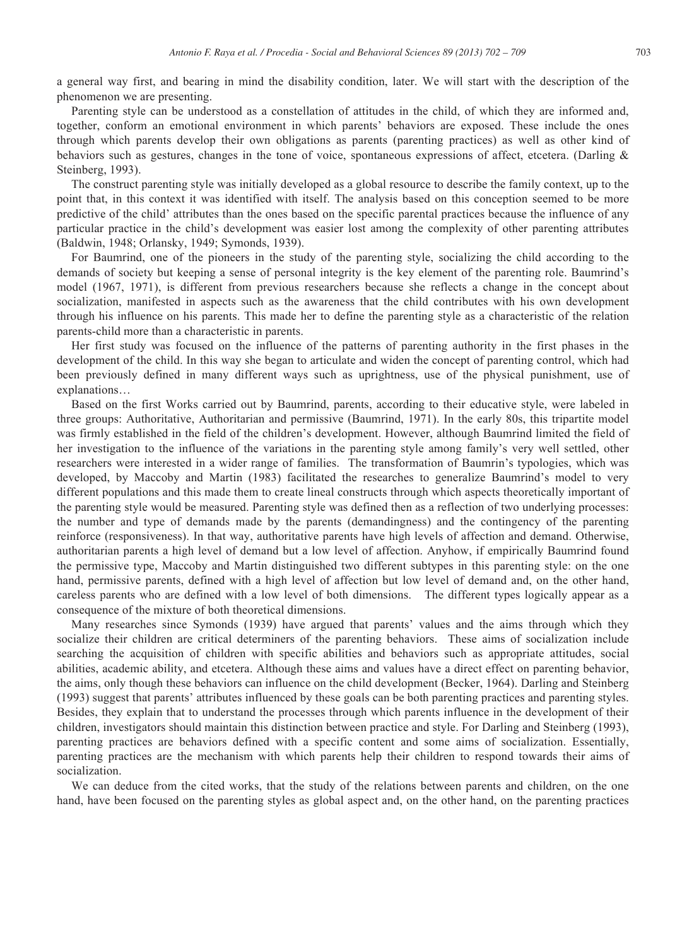a general way first, and bearing in mind the disability condition, later. We will start with the description of the phenomenon we are presenting.

Parenting style can be understood as a constellation of attitudes in the child, of which they are informed and, together, conform an emotional environment in which parents' behaviors are exposed. These include the ones through which parents develop their own obligations as parents (parenting practices) as well as other kind of behaviors such as gestures, changes in the tone of voice, spontaneous expressions of affect, etcetera. (Darling & Steinberg, 1993).

The construct parenting style was initially developed as a global resource to describe the family context, up to the point that, in this context it was identified with itself. The analysis based on this conception seemed to be more predictive of the child' attributes than the ones based on the specific parental practices because the influence of any particular practice in the child's development was easier lost among the complexity of other parenting attributes (Baldwin, 1948; Orlansky, 1949; Symonds, 1939).

For Baumrind, one of the pioneers in the study of the parenting style, socializing the child according to the demands of society but keeping a sense of personal integrity is the key element of the parenting role. Baumrind's model (1967, 1971), is different from previous researchers because she reflects a change in the concept about socialization, manifested in aspects such as the awareness that the child contributes with his own development through his influence on his parents. This made her to define the parenting style as a characteristic of the relation parents-child more than a characteristic in parents.

Her first study was focused on the influence of the patterns of parenting authority in the first phases in the development of the child. In this way she began to articulate and widen the concept of parenting control, which had been previously defined in many different ways such as uprightness, use of the physical punishment, use of explanations…

Based on the first Works carried out by Baumrind, parents, according to their educative style, were labeled in three groups: Authoritative, Authoritarian and permissive (Baumrind, 1971). In the early 80s, this tripartite model was firmly established in the field of the children's development. However, although Baumrind limited the field of her investigation to the influence of the variations in the parenting style among family's very well settled, other researchers were interested in a wider range of families. The transformation of Baumrin's typologies, which was developed, by Maccoby and Martin (1983) facilitated the researches to generalize Baumrind's model to very different populations and this made them to create lineal constructs through which aspects theoretically important of the parenting style would be measured. Parenting style was defined then as a reflection of two underlying processes: the number and type of demands made by the parents (demandingness) and the contingency of the parenting reinforce (responsiveness). In that way, authoritative parents have high levels of affection and demand. Otherwise, authoritarian parents a high level of demand but a low level of affection. Anyhow, if empirically Baumrind found the permissive type, Maccoby and Martin distinguished two different subtypes in this parenting style: on the one hand, permissive parents, defined with a high level of affection but low level of demand and, on the other hand, careless parents who are defined with a low level of both dimensions. The different types logically appear as a consequence of the mixture of both theoretical dimensions.

Many researches since Symonds (1939) have argued that parents' values and the aims through which they socialize their children are critical determiners of the parenting behaviors. These aims of socialization include searching the acquisition of children with specific abilities and behaviors such as appropriate attitudes, social abilities, academic ability, and etcetera. Although these aims and values have a direct effect on parenting behavior, the aims, only though these behaviors can influence on the child development (Becker, 1964). Darling and Steinberg (1993) suggest that parents' attributes influenced by these goals can be both parenting practices and parenting styles. Besides, they explain that to understand the processes through which parents influence in the development of their children, investigators should maintain this distinction between practice and style. For Darling and Steinberg (1993), parenting practices are behaviors defined with a specific content and some aims of socialization. Essentially, parenting practices are the mechanism with which parents help their children to respond towards their aims of socialization.

We can deduce from the cited works, that the study of the relations between parents and children, on the one hand, have been focused on the parenting styles as global aspect and, on the other hand, on the parenting practices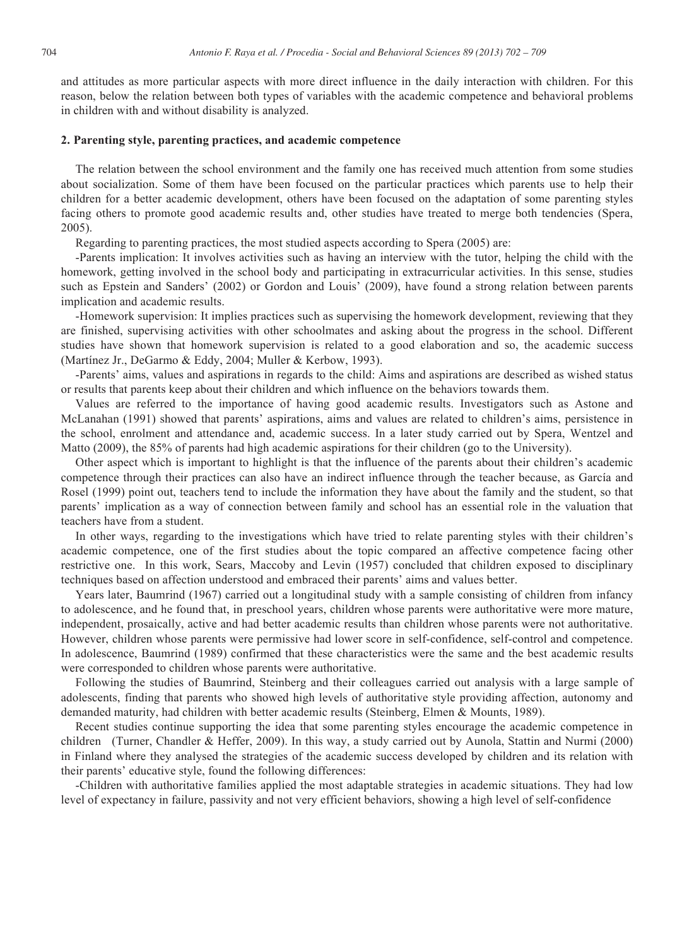and attitudes as more particular aspects with more direct influence in the daily interaction with children. For this reason, below the relation between both types of variables with the academic competence and behavioral problems in children with and without disability is analyzed.

#### **2. Parenting style, parenting practices, and academic competence**

The relation between the school environment and the family one has received much attention from some studies about socialization. Some of them have been focused on the particular practices which parents use to help their children for a better academic development, others have been focused on the adaptation of some parenting styles facing others to promote good academic results and, other studies have treated to merge both tendencies (Spera, 2005).

Regarding to parenting practices, the most studied aspects according to Spera (2005) are:

-Parents implication: It involves activities such as having an interview with the tutor, helping the child with the homework, getting involved in the school body and participating in extracurricular activities. In this sense, studies such as Epstein and Sanders' (2002) or Gordon and Louis' (2009), have found a strong relation between parents implication and academic results.

-Homework supervision: It implies practices such as supervising the homework development, reviewing that they are finished, supervising activities with other schoolmates and asking about the progress in the school. Different studies have shown that homework supervision is related to a good elaboration and so, the academic success (Martínez Jr., DeGarmo & Eddy, 2004; Muller & Kerbow, 1993).

-Parents' aims, values and aspirations in regards to the child: Aims and aspirations are described as wished status or results that parents keep about their children and which influence on the behaviors towards them.

Values are referred to the importance of having good academic results. Investigators such as Astone and McLanahan (1991) showed that parents' aspirations, aims and values are related to children's aims, persistence in the school, enrolment and attendance and, academic success. In a later study carried out by Spera, Wentzel and Matto (2009), the 85% of parents had high academic aspirations for their children (go to the University).

Other aspect which is important to highlight is that the influence of the parents about their children's academic competence through their practices can also have an indirect influence through the teacher because, as García and Rosel (1999) point out, teachers tend to include the information they have about the family and the student, so that parents' implication as a way of connection between family and school has an essential role in the valuation that teachers have from a student.

In other ways, regarding to the investigations which have tried to relate parenting styles with their children's academic competence, one of the first studies about the topic compared an affective competence facing other restrictive one. In this work, Sears, Maccoby and Levin (1957) concluded that children exposed to disciplinary techniques based on affection understood and embraced their parents' aims and values better.

Years later, Baumrind (1967) carried out a longitudinal study with a sample consisting of children from infancy to adolescence, and he found that, in preschool years, children whose parents were authoritative were more mature, independent, prosaically, active and had better academic results than children whose parents were not authoritative. However, children whose parents were permissive had lower score in self-confidence, self-control and competence. In adolescence, Baumrind (1989) confirmed that these characteristics were the same and the best academic results were corresponded to children whose parents were authoritative.

Following the studies of Baumrind, Steinberg and their colleagues carried out analysis with a large sample of adolescents, finding that parents who showed high levels of authoritative style providing affection, autonomy and demanded maturity, had children with better academic results (Steinberg, Elmen & Mounts, 1989).

Recent studies continue supporting the idea that some parenting styles encourage the academic competence in children (Turner, Chandler & Heffer, 2009). In this way, a study carried out by Aunola, Stattin and Nurmi (2000) in Finland where they analysed the strategies of the academic success developed by children and its relation with their parents' educative style, found the following differences:

-Children with authoritative families applied the most adaptable strategies in academic situations. They had low level of expectancy in failure, passivity and not very efficient behaviors, showing a high level of self-confidence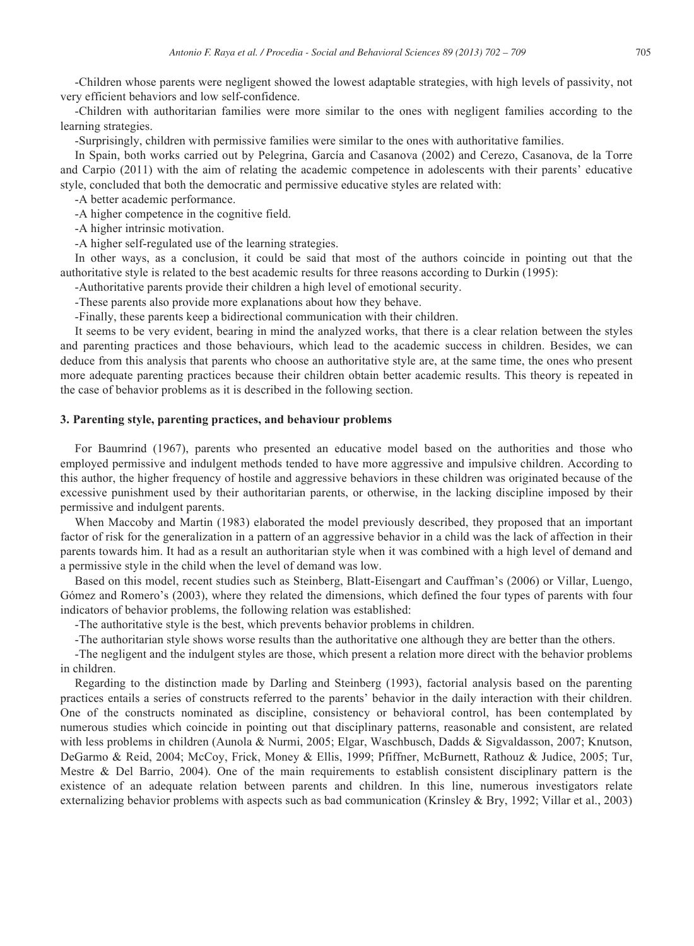-Children whose parents were negligent showed the lowest adaptable strategies, with high levels of passivity, not very efficient behaviors and low self-confidence.

-Children with authoritarian families were more similar to the ones with negligent families according to the learning strategies.

-Surprisingly, children with permissive families were similar to the ones with authoritative families.

In Spain, both works carried out by Pelegrina, García and Casanova (2002) and Cerezo, Casanova, de la Torre and Carpio (2011) with the aim of relating the academic competence in adolescents with their parents' educative style, concluded that both the democratic and permissive educative styles are related with:

-A better academic performance.

-A higher competence in the cognitive field.

-A higher intrinsic motivation.

-A higher self-regulated use of the learning strategies.

In other ways, as a conclusion, it could be said that most of the authors coincide in pointing out that the authoritative style is related to the best academic results for three reasons according to Durkin (1995):

-Authoritative parents provide their children a high level of emotional security.

-These parents also provide more explanations about how they behave.

-Finally, these parents keep a bidirectional communication with their children.

It seems to be very evident, bearing in mind the analyzed works, that there is a clear relation between the styles and parenting practices and those behaviours, which lead to the academic success in children. Besides, we can deduce from this analysis that parents who choose an authoritative style are, at the same time, the ones who present more adequate parenting practices because their children obtain better academic results. This theory is repeated in the case of behavior problems as it is described in the following section.

#### **3. Parenting style, parenting practices, and behaviour problems**

For Baumrind (1967), parents who presented an educative model based on the authorities and those who employed permissive and indulgent methods tended to have more aggressive and impulsive children. According to this author, the higher frequency of hostile and aggressive behaviors in these children was originated because of the excessive punishment used by their authoritarian parents, or otherwise, in the lacking discipline imposed by their permissive and indulgent parents.

When Maccoby and Martin (1983) elaborated the model previously described, they proposed that an important factor of risk for the generalization in a pattern of an aggressive behavior in a child was the lack of affection in their parents towards him. It had as a result an authoritarian style when it was combined with a high level of demand and a permissive style in the child when the level of demand was low.

Based on this model, recent studies such as Steinberg, Blatt-Eisengart and Cauffman's (2006) or Villar, Luengo, Gómez and Romero's (2003), where they related the dimensions, which defined the four types of parents with four indicators of behavior problems, the following relation was established:

-The authoritative style is the best, which prevents behavior problems in children.

-The authoritarian style shows worse results than the authoritative one although they are better than the others.

-The negligent and the indulgent styles are those, which present a relation more direct with the behavior problems in children.

Regarding to the distinction made by Darling and Steinberg (1993), factorial analysis based on the parenting practices entails a series of constructs referred to the parents' behavior in the daily interaction with their children. One of the constructs nominated as discipline, consistency or behavioral control, has been contemplated by numerous studies which coincide in pointing out that disciplinary patterns, reasonable and consistent, are related with less problems in children (Aunola & Nurmi, 2005; Elgar, Waschbusch, Dadds & Sigvaldasson, 2007; Knutson, DeGarmo & Reid, 2004; McCoy, Frick, Money & Ellis, 1999; Pfiffner, McBurnett, Rathouz & Judice, 2005; Tur, Mestre & Del Barrio, 2004). One of the main requirements to establish consistent disciplinary pattern is the existence of an adequate relation between parents and children. In this line, numerous investigators relate externalizing behavior problems with aspects such as bad communication (Krinsley & Bry, 1992; Villar et al., 2003)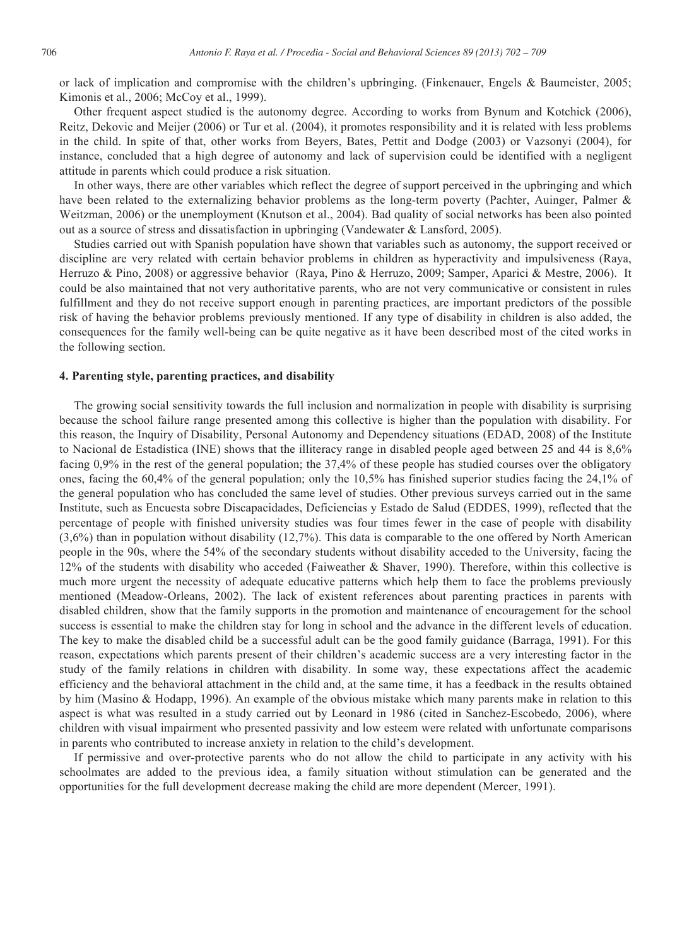or lack of implication and compromise with the children's upbringing. (Finkenauer, Engels & Baumeister, 2005; Kimonis et al., 2006; McCoy et al., 1999).

Other frequent aspect studied is the autonomy degree. According to works from Bynum and Kotchick (2006), Reitz, Dekovic and Meijer (2006) or Tur et al. (2004), it promotes responsibility and it is related with less problems in the child. In spite of that, other works from Beyers, Bates, Pettit and Dodge (2003) or Vazsonyi (2004), for instance, concluded that a high degree of autonomy and lack of supervision could be identified with a negligent attitude in parents which could produce a risk situation.

In other ways, there are other variables which reflect the degree of support perceived in the upbringing and which have been related to the externalizing behavior problems as the long-term poverty (Pachter, Auinger, Palmer & Weitzman, 2006) or the unemployment (Knutson et al., 2004). Bad quality of social networks has been also pointed out as a source of stress and dissatisfaction in upbringing (Vandewater & Lansford, 2005).

Studies carried out with Spanish population have shown that variables such as autonomy, the support received or discipline are very related with certain behavior problems in children as hyperactivity and impulsiveness (Raya, Herruzo & Pino, 2008) or aggressive behavior (Raya, Pino & Herruzo, 2009; Samper, Aparici & Mestre, 2006). It could be also maintained that not very authoritative parents, who are not very communicative or consistent in rules fulfillment and they do not receive support enough in parenting practices, are important predictors of the possible risk of having the behavior problems previously mentioned. If any type of disability in children is also added, the consequences for the family well-being can be quite negative as it have been described most of the cited works in the following section.

## **4. Parenting style, parenting practices, and disability**

The growing social sensitivity towards the full inclusion and normalization in people with disability is surprising because the school failure range presented among this collective is higher than the population with disability. For this reason, the Inquiry of Disability, Personal Autonomy and Dependency situations (EDAD, 2008) of the Institute to Nacional de Estadística (INE) shows that the illiteracy range in disabled people aged between 25 and 44 is 8,6% facing 0,9% in the rest of the general population; the 37,4% of these people has studied courses over the obligatory ones, facing the 60,4% of the general population; only the 10,5% has finished superior studies facing the 24,1% of the general population who has concluded the same level of studies. Other previous surveys carried out in the same Institute, such as Encuesta sobre Discapacidades, Deficiencias y Estado de Salud (EDDES, 1999), reflected that the percentage of people with finished university studies was four times fewer in the case of people with disability (3,6%) than in population without disability (12,7%). This data is comparable to the one offered by North American people in the 90s, where the 54% of the secondary students without disability acceded to the University, facing the 12% of the students with disability who acceded (Faiweather & Shaver, 1990). Therefore, within this collective is much more urgent the necessity of adequate educative patterns which help them to face the problems previously mentioned (Meadow-Orleans, 2002). The lack of existent references about parenting practices in parents with disabled children, show that the family supports in the promotion and maintenance of encouragement for the school success is essential to make the children stay for long in school and the advance in the different levels of education. The key to make the disabled child be a successful adult can be the good family guidance (Barraga, 1991). For this reason, expectations which parents present of their children's academic success are a very interesting factor in the study of the family relations in children with disability. In some way, these expectations affect the academic efficiency and the behavioral attachment in the child and, at the same time, it has a feedback in the results obtained by him (Masino & Hodapp, 1996). An example of the obvious mistake which many parents make in relation to this aspect is what was resulted in a study carried out by Leonard in 1986 (cited in Sanchez-Escobedo, 2006), where children with visual impairment who presented passivity and low esteem were related with unfortunate comparisons in parents who contributed to increase anxiety in relation to the child's development.

If permissive and over-protective parents who do not allow the child to participate in any activity with his schoolmates are added to the previous idea, a family situation without stimulation can be generated and the opportunities for the full development decrease making the child are more dependent (Mercer, 1991).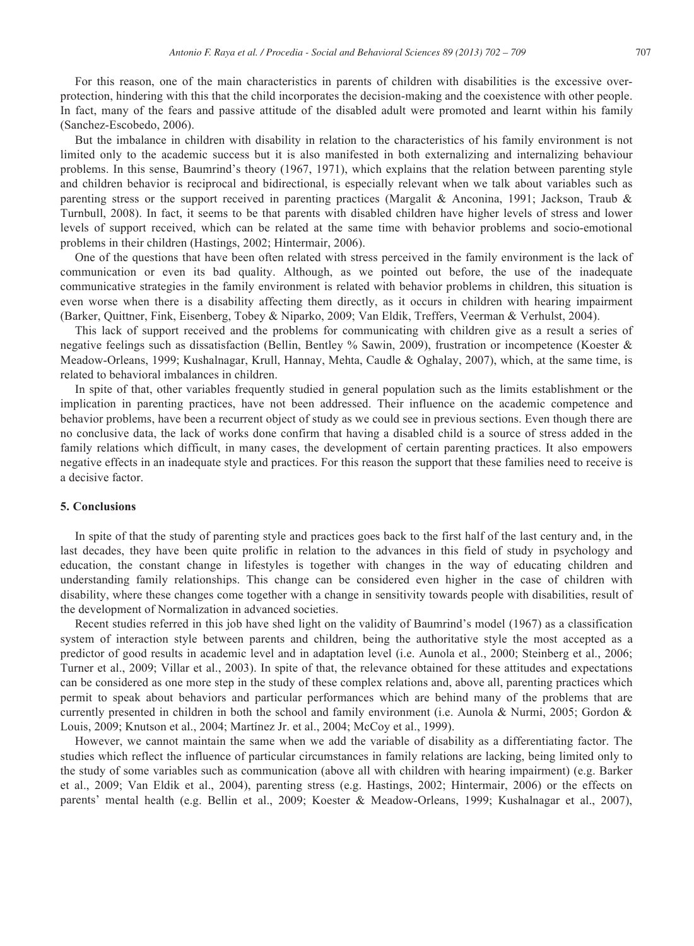For this reason, one of the main characteristics in parents of children with disabilities is the excessive overprotection, hindering with this that the child incorporates the decision-making and the coexistence with other people. In fact, many of the fears and passive attitude of the disabled adult were promoted and learnt within his family (Sanchez-Escobedo, 2006).

But the imbalance in children with disability in relation to the characteristics of his family environment is not limited only to the academic success but it is also manifested in both externalizing and internalizing behaviour problems. In this sense, Baumrind's theory (1967, 1971), which explains that the relation between parenting style and children behavior is reciprocal and bidirectional, is especially relevant when we talk about variables such as parenting stress or the support received in parenting practices (Margalit & Anconina, 1991; Jackson, Traub & Turnbull, 2008). In fact, it seems to be that parents with disabled children have higher levels of stress and lower levels of support received, which can be related at the same time with behavior problems and socio-emotional problems in their children (Hastings, 2002; Hintermair, 2006).

One of the questions that have been often related with stress perceived in the family environment is the lack of communication or even its bad quality. Although, as we pointed out before, the use of the inadequate communicative strategies in the family environment is related with behavior problems in children, this situation is even worse when there is a disability affecting them directly, as it occurs in children with hearing impairment (Barker, Quittner, Fink, Eisenberg, Tobey & Niparko, 2009; Van Eldik, Treffers, Veerman & Verhulst, 2004).

This lack of support received and the problems for communicating with children give as a result a series of negative feelings such as dissatisfaction (Bellin, Bentley % Sawin, 2009), frustration or incompetence (Koester & Meadow-Orleans, 1999; Kushalnagar, Krull, Hannay, Mehta, Caudle & Oghalay, 2007), which, at the same time, is related to behavioral imbalances in children.

In spite of that, other variables frequently studied in general population such as the limits establishment or the implication in parenting practices, have not been addressed. Their influence on the academic competence and behavior problems, have been a recurrent object of study as we could see in previous sections. Even though there are no conclusive data, the lack of works done confirm that having a disabled child is a source of stress added in the family relations which difficult, in many cases, the development of certain parenting practices. It also empowers negative effects in an inadequate style and practices. For this reason the support that these families need to receive is a decisive factor.

#### **5. Conclusions**

In spite of that the study of parenting style and practices goes back to the first half of the last century and, in the last decades, they have been quite prolific in relation to the advances in this field of study in psychology and education, the constant change in lifestyles is together with changes in the way of educating children and understanding family relationships. This change can be considered even higher in the case of children with disability, where these changes come together with a change in sensitivity towards people with disabilities, result of the development of Normalization in advanced societies.

Recent studies referred in this job have shed light on the validity of Baumrind's model (1967) as a classification system of interaction style between parents and children, being the authoritative style the most accepted as a predictor of good results in academic level and in adaptation level (i.e. Aunola et al., 2000; Steinberg et al., 2006; Turner et al., 2009; Villar et al., 2003). In spite of that, the relevance obtained for these attitudes and expectations can be considered as one more step in the study of these complex relations and, above all, parenting practices which permit to speak about behaviors and particular performances which are behind many of the problems that are currently presented in children in both the school and family environment (i.e. Aunola & Nurmi, 2005; Gordon & Louis, 2009; Knutson et al., 2004; Martínez Jr. et al., 2004; McCoy et al., 1999).

However, we cannot maintain the same when we add the variable of disability as a differentiating factor. The studies which reflect the influence of particular circumstances in family relations are lacking, being limited only to the study of some variables such as communication (above all with children with hearing impairment) (e.g. Barker et al., 2009; Van Eldik et al., 2004), parenting stress (e.g. Hastings, 2002; Hintermair, 2006) or the effects on parents' mental health (e.g. Bellin et al., 2009; Koester & Meadow-Orleans, 1999; Kushalnagar et al., 2007),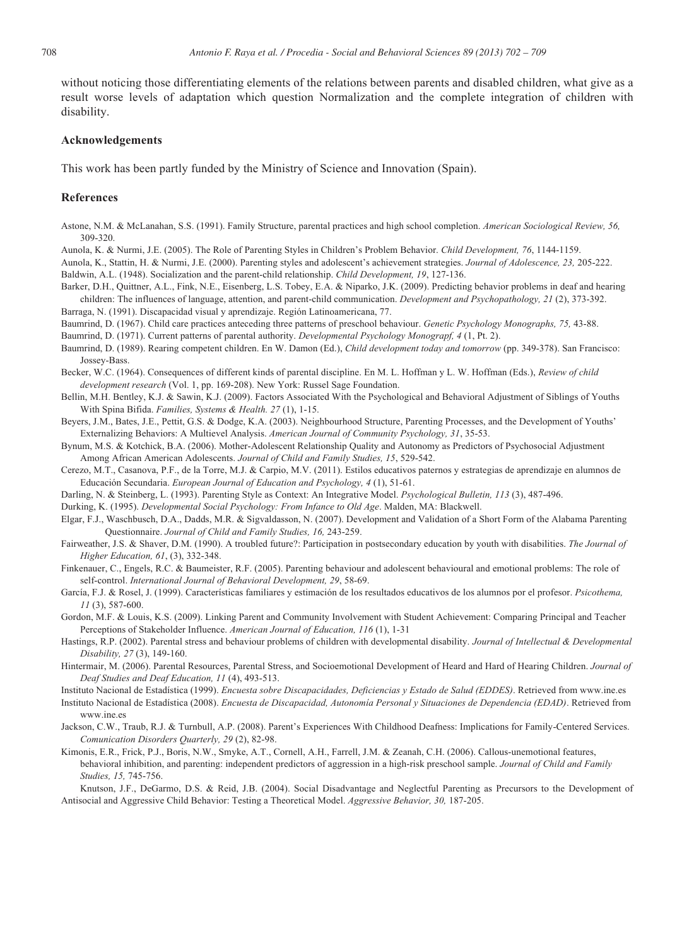without noticing those differentiating elements of the relations between parents and disabled children, what give as a result worse levels of adaptation which question Normalization and the complete integration of children with disability.

#### **Acknowledgements**

This work has been partly funded by the Ministry of Science and Innovation (Spain).

#### **References**

Astone, N.M. & McLanahan, S.S. (1991). Family Structure, parental practices and high school completion. *American Sociological Review, 56,* 309-320.

Aunola, K. & Nurmi, J.E. (2005). The Role of Parenting Styles in Children's Problem Behavior. *Child Development, 76*, 1144-1159.

Aunola, K., Stattin, H. & Nurmi, J.E. (2000). Parenting styles and adolescent's achievement strategies. *Journal of Adolescence, 23,* 205-222. Baldwin, A.L. (1948). Socialization and the parent-child relationship. *Child Development, 19*, 127-136.

Barker, D.H., Quittner, A.L., Fink, N.E., Eisenberg, L.S. Tobey, E.A. & Niparko, J.K. (2009). Predicting behavior problems in deaf and hearing children: The influences of language, attention, and parent-child communication. *Development and Psychopathology, 21* (2), 373-392. Barraga, N. (1991). Discapacidad visual y aprendizaje. Región Latinoamericana, 77.

Baumrind, D. (1967). Child care practices anteceding three patterns of preschool behaviour. *Genetic Psychology Monographs, 75,* 43-88.

Baumrind, D. (1971). Current patterns of parental authority. *Developmental Psychology Monograpf, 4* (1, Pt. 2).

- Baumrind, D. (1989). Rearing competent children. En W. Damon (Ed.), *Child development today and tomorrow* (pp. 349-378). San Francisco: Jossey-Bass.
- Becker, W.C. (1964). Consequences of different kinds of parental discipline. En M. L. Hoffman y L. W. Hoffman (Eds.), *Review of child development research* (Vol. 1, pp. 169-208). New York: Russel Sage Foundation.

Bellin, M.H. Bentley, K.J. & Sawin, K.J. (2009). Factors Associated With the Psychological and Behavioral Adjustment of Siblings of Youths With Spina Bifida. *Families, Systems & Health. 27* (1), 1-15.

Beyers, J.M., Bates, J.E., Pettit, G.S. & Dodge, K.A. (2003). Neighbourhood Structure, Parenting Processes, and the Development of Youths' Externalizing Behaviors: A Multievel Analysis. *American Journal of Community Psychology, 31*, 35-53.

- Bynum, M.S. & Kotchick, B.A. (2006). Mother-Adolescent Relationship Quality and Autonomy as Predictors of Psychosocial Adjustment Among African American Adolescents. *Journal of Child and Family Studies, 15*, 529-542.
- Cerezo, M.T., Casanova, P.F., de la Torre, M.J. & Carpio, M.V. (2011). Estilos educativos paternos y estrategias de aprendizaje en alumnos de Educación Secundaria. *European Journal of Education and Psychology, 4* (1), 51-61.

Darling, N. & Steinberg, L. (1993). Parenting Style as Context: An Integrative Model. *Psychological Bulletin, 113* (3), 487-496.

Durking, K. (1995). *Developmental Social Psychology: From Infance to Old Age*. Malden, MA: Blackwell.

Elgar, F.J., Waschbusch, D.A., Dadds, M.R. & Sigvaldasson, N. (2007). Development and Validation of a Short Form of the Alabama Parenting Questionnaire. *Journal of Child and Family Studies, 16,* 243-259.

- Fairweather, J.S. & Shaver, D.M. (1990). A troubled future?: Participation in postsecondary education by youth with disabilities. *The Journal of Higher Education, 61*, (3), 332-348.
- Finkenauer, C., Engels, R.C. & Baumeister, R.F. (2005). Parenting behaviour and adolescent behavioural and emotional problems: The role of self-control. *International Journal of Behavioral Development, 29*, 58-69.

García, F.J. & Rosel, J. (1999). Características familiares y estimación de los resultados educativos de los alumnos por el profesor. *Psicothema, 11* (3), 587-600.

Gordon, M.F. & Louis, K.S. (2009). Linking Parent and Community Involvement with Student Achievement: Comparing Principal and Teacher Perceptions of Stakeholder Influence. *American Journal of Education, 116* (1), 1-31

- Hastings, R.P. (2002). Parental stress and behaviour problems of children with developmental disability. *Journal of Intellectual & Developmental Disability, 27* (3), 149-160.
- Hintermair, M. (2006). Parental Resources, Parental Stress, and Socioemotional Development of Heard and Hard of Hearing Children. *Journal of Deaf Studies and Deaf Education, 11* (4), 493-513.

Instituto Nacional de Estadística (1999). *Encuesta sobre Discapacidades, Deficiencias y Estado de Salud (EDDES)*. Retrieved from www.ine.es

- Instituto Nacional de Estadística (2008). *Encuesta de Discapacidad, Autonomía Personal y Situaciones de Dependencia (EDAD)*. Retrieved from www.ine.es
- Jackson, C.W., Traub, R.J. & Turnbull, A.P. (2008). Parent's Experiences With Childhood Deafness: Implications for Family-Centered Services. *Comunication Disorders Quarterly, 29* (2), 82-98.
- Kimonis, E.R., Frick, P.J., Boris, N.W., Smyke, A.T., Cornell, A.H., Farrell, J.M. & Zeanah, C.H. (2006). Callous-unemotional features, behavioral inhibition, and parenting: independent predictors of aggression in a high-risk preschool sample. *Journal of Child and Family Studies, 15,* 745-756.

Knutson, J.F., DeGarmo, D.S. & Reid, J.B. (2004). Social Disadvantage and Neglectful Parenting as Precursors to the Development of Antisocial and Aggressive Child Behavior: Testing a Theoretical Model. *Aggressive Behavior, 30,* 187-205.